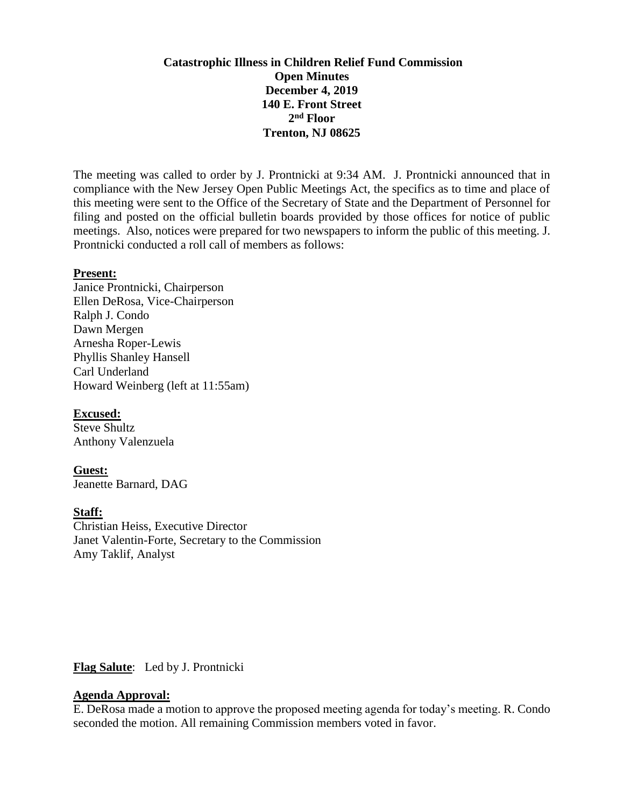# **Catastrophic Illness in Children Relief Fund Commission Open Minutes December 4, 2019 140 E. Front Street 2 nd Floor Trenton, NJ 08625**

The meeting was called to order by J. Prontnicki at 9:34 AM. J. Prontnicki announced that in compliance with the New Jersey Open Public Meetings Act, the specifics as to time and place of this meeting were sent to the Office of the Secretary of State and the Department of Personnel for filing and posted on the official bulletin boards provided by those offices for notice of public meetings. Also, notices were prepared for two newspapers to inform the public of this meeting. J. Prontnicki conducted a roll call of members as follows:

#### **Present:**

Janice Prontnicki, Chairperson Ellen DeRosa, Vice-Chairperson Ralph J. Condo Dawn Mergen Arnesha Roper-Lewis Phyllis Shanley Hansell Carl Underland Howard Weinberg (left at 11:55am)

#### **Excused:**

Steve Shultz Anthony Valenzuela

**Guest:** Jeanette Barnard, DAG

# **Staff:**

Christian Heiss, Executive Director Janet Valentin-Forte, Secretary to the Commission Amy Taklif, Analyst

#### **Flag Salute**: Led by J. Prontnicki

#### **Agenda Approval:**

E. DeRosa made a motion to approve the proposed meeting agenda for today's meeting. R. Condo seconded the motion. All remaining Commission members voted in favor.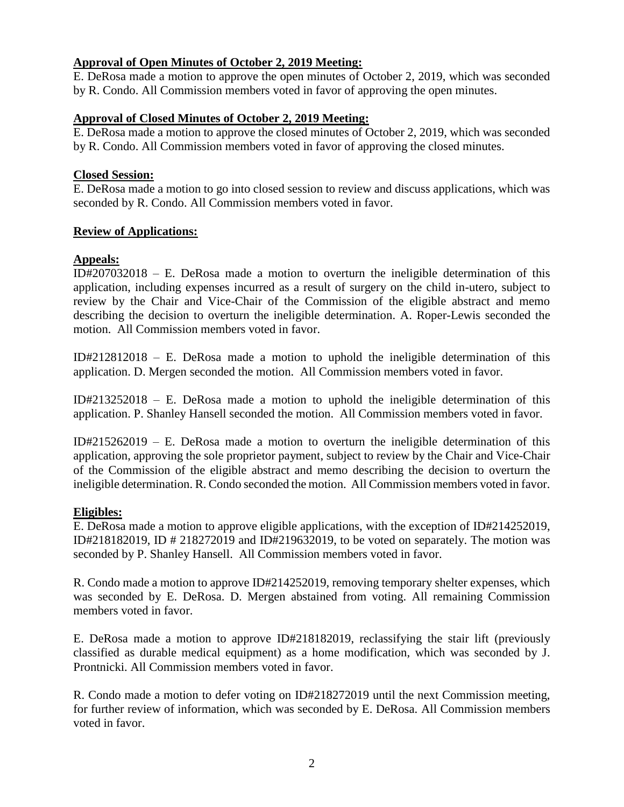# **Approval of Open Minutes of October 2, 2019 Meeting:**

E. DeRosa made a motion to approve the open minutes of October 2, 2019, which was seconded by R. Condo. All Commission members voted in favor of approving the open minutes.

# **Approval of Closed Minutes of October 2, 2019 Meeting:**

E. DeRosa made a motion to approve the closed minutes of October 2, 2019, which was seconded by R. Condo. All Commission members voted in favor of approving the closed minutes.

### **Closed Session:**

E. DeRosa made a motion to go into closed session to review and discuss applications, which was seconded by R. Condo. All Commission members voted in favor.

# **Review of Applications:**

# **Appeals:**

ID#207032018 – E. DeRosa made a motion to overturn the ineligible determination of this application, including expenses incurred as a result of surgery on the child in-utero, subject to review by the Chair and Vice-Chair of the Commission of the eligible abstract and memo describing the decision to overturn the ineligible determination. A. Roper-Lewis seconded the motion. All Commission members voted in favor.

ID#212812018 – E. DeRosa made a motion to uphold the ineligible determination of this application. D. Mergen seconded the motion. All Commission members voted in favor.

ID#213252018 – E. DeRosa made a motion to uphold the ineligible determination of this application. P. Shanley Hansell seconded the motion. All Commission members voted in favor.

ID#215262019 – E. DeRosa made a motion to overturn the ineligible determination of this application, approving the sole proprietor payment, subject to review by the Chair and Vice-Chair of the Commission of the eligible abstract and memo describing the decision to overturn the ineligible determination. R. Condo seconded the motion. All Commission members voted in favor.

# **Eligibles:**

E. DeRosa made a motion to approve eligible applications, with the exception of ID#214252019, ID#218182019, ID # 218272019 and ID#219632019, to be voted on separately. The motion was seconded by P. Shanley Hansell. All Commission members voted in favor.

R. Condo made a motion to approve ID#214252019, removing temporary shelter expenses, which was seconded by E. DeRosa. D. Mergen abstained from voting. All remaining Commission members voted in favor.

E. DeRosa made a motion to approve ID#218182019, reclassifying the stair lift (previously classified as durable medical equipment) as a home modification, which was seconded by J. Prontnicki. All Commission members voted in favor.

R. Condo made a motion to defer voting on ID#218272019 until the next Commission meeting, for further review of information, which was seconded by E. DeRosa. All Commission members voted in favor.